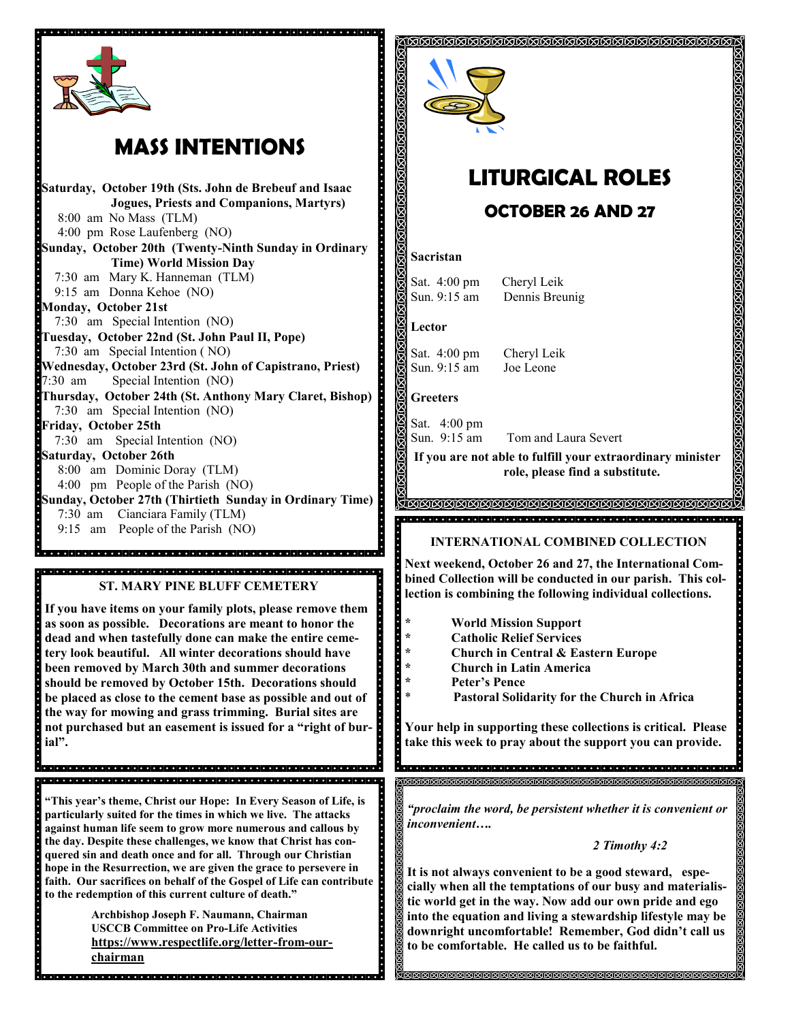

# **MASS INTENTIONS**

<u>se proprese de la consecuencia de la consecuencia de la consecuencia de la consecuencia de la consecuencia de</u> **Saturday, October 19th (Sts. John de Brebeuf and Isaac Jogues, Priests and Companions, Martyrs)** 8:00 am No Mass (TLM) 4:00 pm Rose Laufenberg (NO) **Sunday, October 20th (Twenty-Ninth Sunday in Ordinary Time) World Mission Day** 7:30 am Mary K. Hanneman (TLM) 9:15 am Donna Kehoe (NO) **Monday, October 21st**  7:30 am Special Intention (NO) **Tuesday, October 22nd (St. John Paul II, Pope)** 7:30 am Special Intention ( NO) **Wednesday, October 23rd (St. John of Capistrano, Priest)** 7:30 am Special Intention (NO) 00000000000000 **Thursday, October 24th (St. Anthony Mary Claret, Bishop)** 7:30 am Special Intention (NO) **Friday, October 25th** 7:30 am Special Intention (NO) **Saturday, October 26th** 8:00 am Dominic Doray (TLM) 4:00 pm People of the Parish (NO) **Sunday, October 27th (Thirtieth Sunday in Ordinary Time)**  7:30 am Cianciara Family (TLM) 9:15 am People of the Parish (NO) <u>.</u><br>Telefono de la decorado de la dela de la decorado de la dela de la dela dela de la decorada de la decorada de **ST. MARY PINE BLUFF CEMETERY** Å **If you have items on your family plots, please remove them as soon as possible. Decorations are meant to honor the dead and when tastefully done can make the entire cemetery look beautiful. All winter decorations should have been removed by March 30th and summer decorations should be removed by October 15th. Decorations should be placed as close to the cement base as possible and out of the way for mowing and grass trimming. Burial sites are not purchased but an easement is issued for a "right of burial".** de la calcala de la calcala de la calcala de la calcala de la calcala de la calcala de la calcala de  $\cdot$   $\cdot$ **"This year's theme, Christ our Hope: In Every Season of Life, is particularly suited for the times in which we live. The attacks against human life seem to grow more numerous and callous by the day. Despite these challenges, we know that Christ has conquered sin and death once and for all. Through our Christian hope in the Resurrection, we are given the grace to persevere in faith. Our sacrifices on behalf of the Gospel of Life can contribute to the redemption of this current culture of death."**

> **Archbishop Joseph F. Naumann, Chairman USCCB Committee on Pro-Life Activities https://www.respectlife.org/letter-from-ourchairman**



# **LITURGICAL ROLES**

ଗଗଗଗଗଗଗଗଗଗଗଗଗଗଗଗଗଗଗଗଗଗଗଗଗଗ

# **OCTOBER 26 AND 27**

### **Sacristan**

Sat. 4:00 pm Cheryl Leik Sun. 9:15 am Dennis Breunig

**Lector**

Sat. 4:00 pm Cheryl Leik Sun. 9:15 am Joe Leone

### **Greeters**

Sat. 4:00 pm Tom and Laura Severt Sun. 9:15 am

**If you are not able to fulfill your extraordinary minister role, please find a substitute.** 

### <u>KANANANANANANANANANANANANANAN</u> <u> 10000000000000</u>

### **INTERNATIONAL COMBINED COLLECTION**

**Next weekend, October 26 and 27, the International Combined Collection will be conducted in our parish. This collection is combining the following individual collections.**

- **\* World Mission Support**
- **\* Catholic Relief Services**
	- **\* Church in Central & Eastern Europe**
- **\* Church in Latin America**
- **\* Peter's Pence**
	- \* **Pastoral Solidarity for the Church in Africa**

**Your help in supporting these collections is critical. Please take this week to pray about the support you can provide.** 

*"proclaim the word, be persistent whether it is convenient or inconvenient….*

।ଗଗଗଗଗଗଗଗଗଗଗଗଗଗଗଗଗଗଗଗଗଗଗଗଗଗଗଗଗଗ

### *2 Timothy 4:2*

**It is not always convenient to be a good steward, especially when all the temptations of our busy and materialistic world get in the way. Now add our own pride and ego into the equation and living a stewardship lifestyle may be downright uncomfortable! Remember, God didn't call us to be comfortable. He called us to be faithful.** 

<u>g produntan di produntan di produntan di produntan di produntan di produntan di produntan di produntan di pro</u>